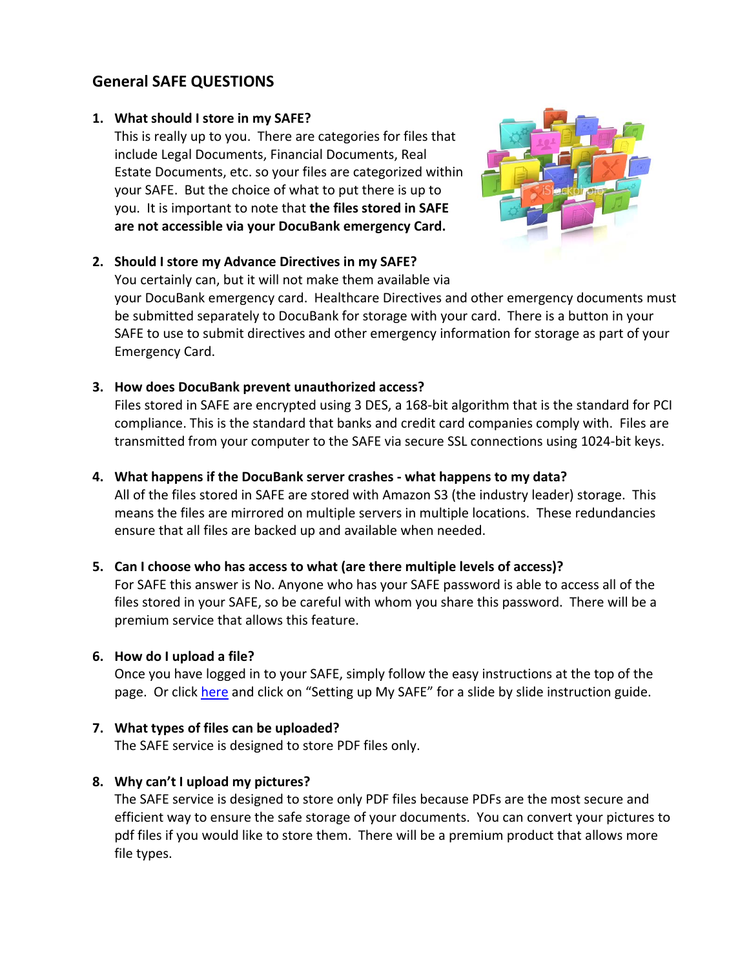# **General SAFE QUESTIONS**

### **1. What should I store in my SAFE?**

This is really up to you. There are categories for files that include Legal Documents, Financial Documents, Real Estate Documents, etc. so your files are categorized within your SAFE. But the choice of what to put there is up to you. It is important to note that **the files stored in SAFE are not accessible via your DocuBank emergency Card.**



### **2. Should I store my Advance Directives in my SAFE?**

You certainly can, but it will not make them available via

your DocuBank emergency card. Healthcare Directives and other emergency documents must be submitted separately to DocuBank for storage with your card. There is a button in your SAFE to use to submit directives and other emergency information for storage as part of your Emergency Card.

# **3. How does DocuBank prevent unauthorized access?**

Files stored in SAFE are encrypted using 3 DES, a 168‐bit algorithm that is the standard for PCI compliance. This is the standard that banks and credit card companies comply with. Files are transmitted from your computer to the SAFE via secure SSL connections using 1024‐bit keys.

# **4. What happens if the DocuBank server crashes ‐ what happens to my data?**

All of the files stored in SAFE are stored with Amazon S3 (the industry leader) storage. This means the files are mirrored on multiple servers in multiple locations. These redundancies ensure that all files are backed up and available when needed.

### **5. Can I choose who has access to what (are there multiple levels of access)?**

For SAFE this answer is No. Anyone who has your SAFE password is able to access all of the files stored in your SAFE, so be careful with whom you share this password. There will be a premium service that allows this feature.

# **6. How do I upload a file?**

Once you have logged in to your SAFE, simply follow the easy instructions at the top of the page. Or click [here](https://www.docubank.com/index.cfm?event=info.safe) and click on "Setting up My SAFE" for a slide by slide instruction guide.

# **7. What types of files can be uploaded?**

The SAFE service is designed to store PDF files only.

# **8. Why can't I upload my pictures?**

The SAFE service is designed to store only PDF files because PDFs are the most secure and efficient way to ensure the safe storage of your documents. You can convert your pictures to pdf files if you would like to store them. There will be a premium product that allows more file types.